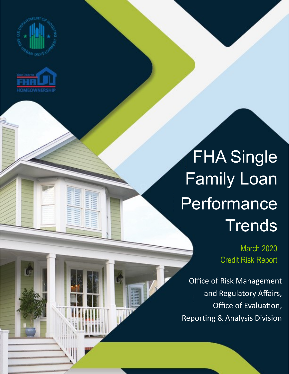



## FHA Single Family Loan Performance **Trends**

March 2020 Credit Risk Report

Office of Risk Management and Regulatory Affairs, Office of Evaluation, Reporting & Analysis Division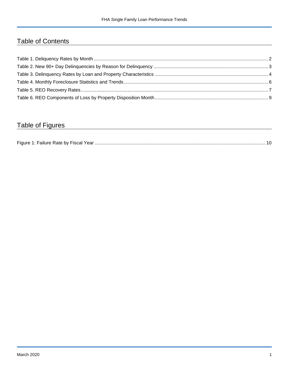## Table of Contents

## Table of Figures

| Figure 1<br>Failure Rate by Fiscal Year. |  |
|------------------------------------------|--|
|------------------------------------------|--|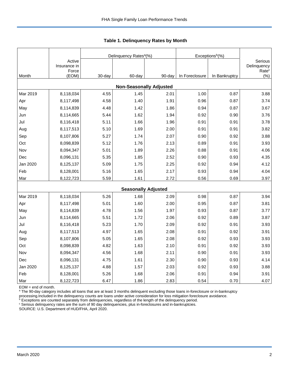|          |                        |            | Delinquency Rates <sup>a</sup> (%) |        | Exceptions <sup>b</sup> (%) |               |                           |
|----------|------------------------|------------|------------------------------------|--------|-----------------------------|---------------|---------------------------|
|          | Active<br>Insurance in |            |                                    |        |                             |               | Serious<br>Delinquency    |
| Month    | Force<br>(EOM)         | $30 - day$ | 60-day                             | 90-day | In Foreclosure              | In Bankruptcy | Rate <sup>c</sup><br>(% ) |
|          |                        |            | <b>Non-Seasonally Adjusted</b>     |        |                             |               |                           |
| Mar 2019 | 8,118,034              | 4.55       | 1.45                               | 2.01   | 1.00                        | 0.87          | 3.88                      |
| Apr      | 8,117,498              | 4.58       | 1.40                               | 1.91   | 0.96                        | 0.87          | 3.74                      |
| May      | 8,114,839              | 4.48       | 1.42                               | 1.86   | 0.94                        | 0.87          | 3.67                      |
| Jun      | 8,114,665              | 5.44       | 1.62                               | 1.94   | 0.92                        | 0.90          | 3.76                      |
| Jul      | 8,116,418              | 5.11       | 1.66                               | 1.96   | 0.91                        | 0.91          | 3.78                      |
| Aug      | 8,117,513              | 5.10       | 1.69                               | 2.00   | 0.91                        | 0.91          | 3.82                      |
| Sep      | 8,107,806              | 5.27       | 1.74                               | 2.07   | 0.90                        | 0.92          | 3.88                      |
| Oct      | 8,098,839              | 5.12       | 1.76                               | 2.13   | 0.89                        | 0.91          | 3.93                      |
| Nov      | 8,094,347              | 5.01       | 1.89                               | 2.26   | 0.88                        | 0.91          | 4.06                      |
| Dec      | 8,096,131              | 5.35       | 1.85                               | 2.52   | 0.90                        | 0.93          | 4.35                      |
| Jan 2020 | 8,125,137              | 5.09       | 1.75                               | 2.25   | 0.92                        | 0.94          | 4.12                      |
| Feb      | 8,128,001              | 5.16       | 1.65                               | 2.17   | 0.93                        | 0.94          | 4.04                      |
| Mar      | 8,122,723              | 5.59       | 1.61                               | 2.72   | 0.56                        | 0.69          | 3.97                      |
|          |                        |            | <b>Seasonally Adjusted</b>         |        |                             |               |                           |
| Mar 2019 | 8,118,034              | 5.26       | 1.68                               | 2.09   | 0.98                        | 0.87          | 3.94                      |
| Apr      | 8,117,498              | 5.01       | 1.60                               | 2.00   | 0.95                        | 0.87          | 3.81                      |
| May      | 8,114,839              | 4.78       | 1.56                               | 1.97   | 0.93                        | 0.87          | 3.77                      |
| Jun      | 8,114,665              | 5.51       | 1.72                               | 2.06   | 0.92                        | 0.89          | 3.87                      |
| Jul      | 8,116,418              | 5.23       | 1.70                               | 2.09   | 0.92                        | 0.91          | 3.93                      |
| Aug      | 8,117,513              | 4.97       | 1.65                               | 2.08   | 0.91                        | 0.92          | 3.91                      |
| Sep      | 8,107,806              | 5.05       | 1.65                               | 2.08   | 0.92                        | 0.93          | 3.93                      |
| Oct      | 8,098,839              | 4.82       | 1.63                               | 2.10   | 0.91                        | 0.92          | 3.93                      |
| Nov      | 8,094,347              | 4.56       | 1.68                               | 2.11   | 0.90                        | 0.91          | 3.93                      |
| Dec      | 8,096,131              | 4.75       | 1.61                               | 2.30   | 0.90                        | 0.93          | 4.14                      |
| Jan 2020 | 8,125,137              | 4.88       | 1.57                               | 2.03   | 0.92                        | 0.93          | 3.88                      |
| Feb      | 8,128,001              | 5.26       | 1.68                               | 2.06   | 0.91                        | 0.94          | 3.91                      |
| Mar      | 8,122,723              | 6.47       | 1.86                               | 2.83   | 0.54                        | 0.70          | 4.07                      |

<span id="page-2-0"></span>**Table 1. Delinquency Rates by Month**

EOM = end of month.

<sup>a</sup> The 90-day category includes all loans that are at least 3 months delinquent excluding those loans in-foreclosure or in-bankruptcy

processing.Included in the delinquency counts are loans under active consideration for loss mitigation foreclosure avoidance.

 $b$  Exceptions are counted separately from delinquencies, regardless of the length of the delinquency period.

<sup>c</sup> Serious delinquency rates are the sum of 90 day delinquencies, plus in-foreclosures and in-bankruptcies.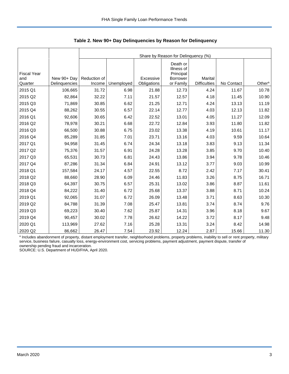|                                      |                              |                        | Share by Reason for Delinquency (%) |                          |                                                              |                                |            |                    |  |  |  |  |
|--------------------------------------|------------------------------|------------------------|-------------------------------------|--------------------------|--------------------------------------------------------------|--------------------------------|------------|--------------------|--|--|--|--|
| <b>Fiscal Year</b><br>and<br>Quarter | New 90+ Day<br>Delinquencies | Reduction of<br>Income | Unemployed                          | Excessive<br>Obligations | Death or<br>Illness of<br>Principal<br>Borrower<br>or Family | Marital<br><b>Difficulties</b> | No Contact | Other <sup>a</sup> |  |  |  |  |
| 2015 Q1                              | 106,665                      | 31.72                  | 6.98                                | 21.88                    | 12.73                                                        | 4.24                           | 11.67      | 10.78              |  |  |  |  |
| 2015 Q2                              | 82,864                       | 32.22                  | 7.11                                | 21.57                    | 12.57                                                        | 4.18                           | 11.45      | 10.90              |  |  |  |  |
|                                      |                              |                        |                                     |                          |                                                              |                                |            |                    |  |  |  |  |
| 2015 Q3                              | 71,869                       | 30.85                  | 6.62                                | 21.25                    | 12.71                                                        | 4.24                           | 13.13      | 11.19              |  |  |  |  |
| 2015 Q4                              | 88,262                       | 30.55                  | 6.57                                | 22.14                    | 12.77                                                        | 4.03                           | 12.13      | 11.82              |  |  |  |  |
| 2016 Q1                              | 92,606                       | 30.65                  | 6.42                                | 22.52                    | 13.01                                                        | 4.05                           | 11.27      | 12.09              |  |  |  |  |
| 2016 Q2                              | 78,978                       | 30.21                  | 6.68                                | 22.72                    | 12.84                                                        | 3.93                           | 11.80      | 11.82              |  |  |  |  |
| 2016 Q3                              | 66,500                       | 30.88                  | 6.75                                | 23.02                    | 13.38                                                        | 4.19                           | 10.61      | 11.17              |  |  |  |  |
| 2016 Q4                              | 85,289                       | 31.85                  | 7.01                                | 23.71                    | 13.16                                                        | 4.03                           | 9.59       | 10.64              |  |  |  |  |
| 2017 Q1                              | 94,958                       | 31.45                  | 6.74                                | 24.34                    | 13.18                                                        | 3.83                           | 9.13       | 11.34              |  |  |  |  |
| 2017 Q2                              | 75,376                       | 31.57                  | 6.91                                | 24.28                    | 13.28                                                        | 3.85                           | 9.70       | 10.40              |  |  |  |  |
| 2017 Q3                              | 65,531                       | 30.73                  | 6.81                                | 24.43                    | 13.86                                                        | 3.94                           | 9.78       | 10.46              |  |  |  |  |
| 2017 Q4                              | 87,286                       | 31.34                  | 6.84                                | 24.91                    | 13.12                                                        | 3.77                           | 9.03       | 10.99              |  |  |  |  |
| 2018 Q1                              | 157,584                      | 24.17                  | 4.57                                | 22.55                    | 8.72                                                         | 2.42                           | 7.17       | 30.41              |  |  |  |  |
| 2018 Q2                              | 88,660                       | 28.90                  | 6.09                                | 24.46                    | 11.83                                                        | 3.26                           | 8.75       | 16.71              |  |  |  |  |
| 2018 Q3                              | 64,397                       | 30.75                  | 6.57                                | 25.31                    | 13.02                                                        | 3.86                           | 8.87       | 11.61              |  |  |  |  |
| 2018 Q4                              | 84,222                       | 31.40                  | 6.72                                | 25.68                    | 13.37                                                        | 3.88                           | 8.71       | 10.24              |  |  |  |  |
| 2019 Q1                              | 92,065                       | 31.07                  | 6.72                                | 26.09                    | 13.48                                                        | 3.71                           | 8.63       | 10.30              |  |  |  |  |
| 2019 Q2                              | 84,788                       | 31.39                  | 7.08                                | 25.47                    | 13.81                                                        | 3.74                           | 8.74       | 9.76               |  |  |  |  |
| 2019 Q3                              | 69,223                       | 30.40                  | 7.62                                | 25.87                    | 14.31                                                        | 3.96                           | 8.18       | 9.67               |  |  |  |  |
| 2019 Q4                              | 90,457                       | 30.02                  | 7.78                                | 26.62                    | 14.22                                                        | 3.72                           | 8.17       | 9.48               |  |  |  |  |
| 2020 Q1                              | 113,969                      | 27.62                  | 7.16                                | 25.28                    | 13.31                                                        | 3.24                           | 8.42       | 14.98              |  |  |  |  |
| 2020 Q2                              | 86,662                       | 26.47                  | 7.54                                | 23.92                    | 12.24                                                        | 2.87                           | 15.66      | 11.30              |  |  |  |  |

<span id="page-3-0"></span>**Table 2. New 90+ Day Delinquencies by Reason for Delinquency**

a Includes abandonment of property, distant employment transfer, neighborhood problems, property problems, inability to sell or rent property, military service, business failure, casualty loss, energy-environment cost, servicing problems, payment adjustment, payment dispute, transfer of ownership pending fraud and incarceration.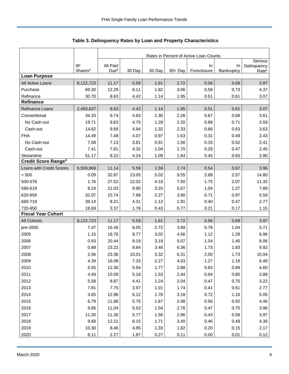|                            |                     | Rates in Percent of Active Loan Counts |        |        |            |             |            |                                  |  |
|----------------------------|---------------------|----------------------------------------|--------|--------|------------|-------------|------------|----------------------------------|--|
|                            | <b>IIF</b>          | All Past                               |        |        |            | In          | In         | Serious                          |  |
|                            | Shares <sup>a</sup> | Due <sup>b</sup>                       | 30 Day | 60 Day | $90 + Day$ | Foreclosure | Bankruptcy | Delinquency<br>Rate <sup>c</sup> |  |
| <b>Loan Purpose</b>        |                     |                                        |        |        |            |             |            |                                  |  |
| All Active Loans           | 8,122,723           | 11.17                                  | 5.59   | 1.61   | 2.72       | 0.56        | 0.69       | 3.97                             |  |
| Purchase                   | 69.30               | 12.29                                  | 6.11   | 1.82   | 3.06       | 0.58        | 0.73       | 4.37                             |  |
| Refinance                  | 30.70               | 8.63                                   | 4.42   | 1.14   | 1.95       | 0.51        | 0.61       | 3.07                             |  |
| <b>Refinance</b>           |                     |                                        |        |        |            |             |            |                                  |  |
| Refinance Loans            | 2,493,637           | 8.63                                   | 4.42   | 1.14   | 1.95       | 0.51        | 0.61       | 3.07                             |  |
| Conventional               | 34.33               | 9.74                                   | 4.83   | 1.30   | 2.26       | 0.67        | 0.68       | 3.61                             |  |
| No Cash-out                | 19.71               | 9.63                                   | 4.75   | 1.28   | 2.20       | 0.68        | 0.71       | 3.59                             |  |
| Cash-out                   | 14.62               | 9.89                                   | 4.94   | 1.32   | 2.33       | 0.66        | 0.63       | 3.63                             |  |
| <b>FHA</b>                 | 14.49               | 7.48                                   | 4.07   | 0.97   | 1.63       | 0.31        | 0.49       | 2.43                             |  |
| No Cash-out                | 7.08                | 7.13                                   | 3.81   | 0.91   | 1.56       | 0.33        | 0.52       | 2.41                             |  |
| Cash-out                   | 7.41                | 7.81                                   | 4.32   | 1.04   | 1.70       | 0.29        | 0.47       | 2.45                             |  |
| Streamline                 | 51.17               | 8.22                                   | 4.24   | 1.09   | 1.84       | 0.45        | 0.60       | 2.90                             |  |
| <b>Credit Score Ranged</b> |                     |                                        |        |        |            |             |            |                                  |  |
| Loans with Credit Scores   | 6,509,868           | 11.14                                  | 5.59   | 1.59   | 2.74       | 0.54        | 0.67       | 3.96                             |  |
| < 500                      | 0.09                | 32.87                                  | 13.05  | 5.02   | 9.55       | 2.68        | 2.57       | 14.80                            |  |
| 500-579                    | 1.76                | 27.52                                  | 12.02  | 4.18   | 7.50       | 1.75        | 2.07       | 11.32                            |  |
| 580-619                    | 8.24                | 21.03                                  | 9.90   | 3.25   | 5.57       | 1.04        | 1.27       | 7.89                             |  |
| 620-659                    | 32.07               | 15.74                                  | 7.88   | 2.27   | 3.90       | 0.71        | 0.97       | 5.59                             |  |
| 660-719                    | 39.14               | 8.21                                   | 4.31   | 1.12   | 1.91       | 0.40        | 0.47       | 2.77                             |  |
| 720-850                    | 18.69               | 3.37                                   | 1.78   | 0.43   | 0.77       | 0.21        | 0.17       | 1.15                             |  |
| <b>Fiscal Year Cohort</b>  |                     |                                        |        |        |            |             |            |                                  |  |
| <b>All Cohorts</b>         | 8,122,723           | 11.17                                  | 5.59   | 1.61   | 2.72       | 0.56        | 0.69       | 3.97                             |  |
| pre-2005                   | 7.47                | 16.48                                  | 8.05   | 2.72   | 3.89       | 0.78        | 1.04       | 5.71                             |  |
| 2005                       | 1.15                | 18.76                                  | 8.77   | 3.02   | 4.56       | 1.12        | 1.29       | 6.96                             |  |
| 2006                       | 0.93                | 20.44                                  | 9.19   | 3.19   | 5.07       | 1.54        | 1.45       | 8.06                             |  |
| 2007                       | 0.88                | 23.22                                  | 9.84   | 3.46   | 6.36       | 1.73        | 1.83       | 9.92                             |  |
| 2008                       | 2.06                | 23.36                                  | 10.01  | 3.32   | 6.31       | 2.00        | 1.73       | 10.04                            |  |
| 2009                       | 4.39                | 16.08                                  | 7.33   | 2.27   | 4.03       | 1.27        | 1.18       | 6.48                             |  |
| 2010                       | 5.55                | 12.30                                  | 5.94   | 1.77   | 2.88       | 0.83        | 0.89       | 4.60                             |  |
| 2011                       | 4.49                | 10.59                                  | 5.18   | 1.53   | 2.44       | 0.64        | 0.80       | 3.88                             |  |
| 2012                       | 5.58                | 8.87                                   | 4.41   | 1.24   | 2.04       | 0.47        | 0.70       | 3.22                             |  |
| 2013                       | 7.81                | 7.75                                   | 3.97   | 1.01   | 1.74       | 0.41        | 0.61       | 2.77                             |  |
| 2014                       | 3.65                | 12.96                                  | 6.12   | 1.78   | 3.18       | 0.72        | 1.16       | 5.05                             |  |
| 2015                       | 6.79                | 11.88                                  | 5.75   | 1.67   | 2.98       | 0.56        | 0.92       | 4.46                             |  |
| 2016                       | 9.86                | 11.04                                  | 5.52   | 1.54   | 2.76       | 0.47        | 0.75       | 3.98                             |  |
| 2017                       | 11.30               | 11.30                                  | 5.77   | 1.56   | 2.96       | 0.43        | 0.58       | 3.97                             |  |
| 2018                       | 9.68                | 12.21                                  | 6.15   | 1.71   | 3.40       | 0.46        | 0.49       | 4.36                             |  |
| 2019                       | 10.30               | 8.46                                   | 4.95   | 1.33   | 1.82       | 0.20        | 0.15       | 2.17                             |  |
| 2020                       | 8.11                | 2.27                                   | 1.87   | 0.27   | 0.11       | 0.00        | 0.01       | 0.12                             |  |

<span id="page-4-0"></span>Table 3. Delinquency Rates by Loan and Property Characteristics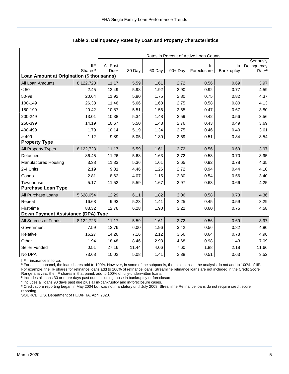|                                           |                                   | Rates in Percent of Active Loan Counts |        |        |         |             |            |                   |  |  |
|-------------------------------------------|-----------------------------------|----------------------------------------|--------|--------|---------|-------------|------------|-------------------|--|--|
|                                           |                                   |                                        |        |        |         |             |            | Seriously         |  |  |
|                                           | <b>IIF</b><br>Shares <sup>a</sup> | All Past<br>Due <sup>b</sup>           |        |        |         | In          | In         | Delinquency       |  |  |
| Loan Amount at Origination (\$ thousands) |                                   |                                        | 30 Day | 60 Day | 90+ Day | Foreclosure | Bankruptcy | Rate <sup>c</sup> |  |  |
| All Loan Amounts                          | 8,122,723                         | 11.17                                  | 5.59   | 1.61   | 2.72    | 0.56        | 0.69       | 3.97              |  |  |
| < 50                                      | 2.45                              | 12.49                                  | 5.98   | 1.92   | 2.90    | 0.92        | 0.77       | 4.59              |  |  |
| 50-99                                     | 20.64                             | 11.92                                  | 5.80   | 1.75   | 2.80    | 0.75        | 0.82       | 4.37              |  |  |
| 100-149                                   | 26.38                             | 11.46                                  | 5.66   | 1.68   | 2.75    | 0.58        | 0.80       | 4.13              |  |  |
| 150-199                                   | 20.42                             | 10.87                                  | 5.51   | 1.56   | 2.65    | 0.47        | 0.67       | 3.80              |  |  |
| 200-249                                   | 13.01                             | 10.38                                  | 5.34   | 1.48   | 2.59    | 0.42        | 0.56       | 3.56              |  |  |
| 250-399                                   | 14.19                             | 10.67                                  | 5.50   | 1.48   | 2.76    | 0.43        | 0.49       | 3.69              |  |  |
| 400-499                                   | 1.79                              | 10.14                                  | 5.19   | 1.34   | 2.75    | 0.46        | 0.40       | 3.61              |  |  |
| >499                                      | 1.12                              | 9.89                                   | 5.05   | 1.30   | 2.69    | 0.51        | 0.34       | 3.54              |  |  |
| <b>Property Type</b>                      |                                   |                                        |        |        |         |             |            |                   |  |  |
| All Property Types                        | 8,122,723                         | 11.17                                  | 5.59   | 1.61   | 2.72    | 0.56        | 0.69       | 3.97              |  |  |
| Detached                                  | 86.45                             | 11.26                                  | 5.68   | 1.63   | 2.72    | 0.53        | 0.70       | 3.95              |  |  |
| <b>Manufactured Housing</b>               | 3.38                              | 11.33                                  | 5.36   | 1.61   | 2.65    | 0.92        | 0.78       | 4.35              |  |  |
| 2-4 Units                                 | 2.19                              | 9.81                                   | 4.46   | 1.26   | 2.72    | 0.94        | 0.44       | 4.10              |  |  |
| Condo                                     | 2.81                              | 8.62                                   | 4.07   | 1.15   | 2.30    | 0.54        | 0.56       | 3.40              |  |  |
| Townhouse                                 | 5.17                              | 11.52                                  | 5.59   | 1.67   | 2.97    | 0.63        | 0.66       | 4.25              |  |  |
| <b>Purchase Loan Type</b>                 |                                   |                                        |        |        |         |             |            |                   |  |  |
| All Purchase Loans                        | 5,628,654                         | 12.29                                  | 6.11   | 1.82   | 3.06    | 0.58        | 0.73       | 4.36              |  |  |
| Repeat                                    | 16.68                             | 9.93                                   | 5.23   | 1.41   | 2.25    | 0.45        | 0.59       | 3.29              |  |  |
| First-time                                | 83.32                             | 12.76                                  | 6.28   | 1.90   | 3.22    | 0.60        | 0.75       | 4.58              |  |  |
| Down Payment Assistance (DPA) Type        |                                   |                                        |        |        |         |             |            |                   |  |  |
| All Sources of Funds                      | 8,122,723                         | 11.17                                  | 5.59   | 1.61   | 2.72    | 0.56        | 0.69       | 3.97              |  |  |
| Government                                | 7.59                              | 12.76                                  | 6.00   | 1.96   | 3.42    | 0.56        | 0.82       | 4.80              |  |  |
| Relative                                  | 16.27                             | 14.26                                  | 7.16   | 2.12   | 3.56    | 0.64        | 0.78       | 4.98              |  |  |
| Other                                     | 1.94                              | 18.48                                  | 8.46   | 2.93   | 4.68    | 0.98        | 1.43       | 7.09              |  |  |
| Seller Funded                             | 0.51                              | 27.16                                  | 11.44  | 4.06   | 7.60    | 1.88        | 2.18       | 11.66             |  |  |
| No DPA                                    | 73.68                             | 10.02                                  | 5.08   | 1.41   | 2.38    | 0.51        | 0.63       | 3.52              |  |  |

**Table 3. Delinquency Rates by Loan and Property Characteristics**

IIF = insurance in force.

<sup>a</sup> For each subpanel, the loan shares add to 100%. However, in some of the subpanels, the total loans in the analysis do not add to 100% of IIF. For example, the IIF shares for refinance loans add to 100% of refinance loans. Streamline refinance loans are not included in the Credit Score

Range analysis; the IIF shares in that panel, add to 100% of fully-underwritten loans.<br><sup>b</sup> Includes all loans 30 or more days past due, including those in bankruptcy or foreclosure.

c Includes all loans 90 days past due plus all in-bankruptcy and in-foreclosure cases.

<sup>d</sup> Credit score reporting began in May 2004 but was not mandatory until July 2008. Streamline Refinance loans do not require credit score reporting.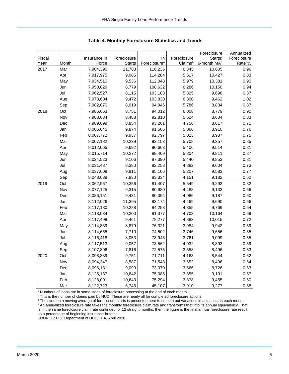|        |       |              |               |                          |             | Foreclosure             | Annualized         |
|--------|-------|--------------|---------------|--------------------------|-------------|-------------------------|--------------------|
| Fiscal |       | Insurance in | Foreclosure   | In                       | Foreclosure | Starts:                 | Foreclosure        |
| Year   | Month | Force        | <b>Starts</b> | Foreclosure <sup>a</sup> | Claimsb     | 6-month MA <sup>c</sup> | Rate <sup>d%</sup> |
| 2017   | Mar   | 7,904,390    | 11,783        | 116,236                  | 6,345       | 10,605                  | 0.96               |
|        | Apr   | 7,917,975    | 9,085         | 114,284                  | 5,517       | 10,427                  | 0.83               |
|        | May   | 7,934,510    | 9,536         | 112,048                  | 5,979       | 10,381                  | 0.90               |
|        | Jun   | 7,950,029    | 8,779         | 108,632                  | 6,286       | 10,150                  | 0.94               |
|        | Jul   | 7,962,527    | 8,115         | 103,183                  | 5,825       | 9,698                   | 0.87               |
|        | Aug   | 7,973,604    | 9,472         | 103,830                  | 6,800       | 9,462                   | 1.02               |
|        | Sep   | 7,982,070    | 8,019         | 94,946                   | 5,786       | 8,834                   | 0.87               |
| 2018   | Oct   | 7,986,663    | 8,751         | 94,012                   | 6,008       | 8,779                   | 0.90               |
|        | Nov   | 7,988,634    | 8,488         | 92,810                   | 5,524       | 8,604                   | 0.83               |
|        | Dec   | 7,989,699    | 8,854         | 93,261                   | 4,756       | 8,617                   | 0.71               |
|        | Jan   | 8,005,645    | 9,874         | 91,506                   | 5,066       | 8,910                   | 0.76               |
|        | Feb   | 8,007,772    | 9,937         | 92,797                   | 5,023       | 8,987                   | 0.75               |
|        | Mar   | 8,007,182    | 10,239        | 92,153                   | 5,708       | 9,357                   | 0.85               |
|        | Apr   | 8,012,065    | 9,692         | 90,663                   | 5,406       | 9,514                   | 0.81               |
|        | May   | 8,015,714    | 10,272        | 89,409                   | 5,804       | 9,811                   | 0.87               |
|        | Jun   | 8,024,523    | 9,106         | 87,390                   | 5,440       | 9,853                   | 0.81               |
|        | Jul   | 8,031,487    | 8,380         | 82,258                   | 4,882       | 9,604                   | 0.73               |
|        | Aug   | 8,037,609    | 9,811         | 85,106                   | 5,207       | 9,583                   | 0.77               |
|        | Sep   | 8,048,639    | 7,830         | 83,334                   | 4,151       | 9,182                   | 0.62               |
| 2019   | Oct   | 8,062,967    | 10,356        | 81,407                   | 5,549       | 9,293                   | 0.82               |
|        | Nov   | 8,077,125    | 9,315         | 80,980                   | 4,488       | 9,133                   | 0.66               |
|        | Dec   | 8,086,151    | 9,431         | 80,094                   | 4,086       | 9,187                   | 0.60               |
|        | Jan   | 8,112,026    | 11,395        | 83,174                   | 4,469       | 9,690                   | 0.66               |
|        | Feb   | 8,117,180    | 10,288        | 84,258                   | 4,355       | 9,769                   | 0.64               |
|        | Mar   | 8,118,034    | 10,200        | 81,377                   | 4,703       | 10,164                  | 0.69               |
|        | Apr   | 8,117,498    | 9,461         | 78,277                   | 4,883       | 10,015                  | 0.72               |
|        | May   | 8,114,839    | 8,879         | 76,321                   | 3,984       | 9,942                   | 0.59               |
|        | Jun   | 8,114,665    | 7,710         | 74,502                   | 3,746       | 9,656                   | 0.55               |
|        | Jul   | 8,116,418    | 8,053         | 73,946                   | 3,761       | 9,099                   | 0.55               |
|        | Aug   | 8,117,513    | 9,057         | 73,562                   | 4,032       | 8,893                   | 0.59               |
|        | Sep   | 8,107,806    | 7,816         | 72,575                   | 3,558       | 8,496                   | 0.53               |
| 2020   | Oct   | 8,098,839    | 9,751         | 71,711                   | 4,163       | 8,544                   | 0.62               |
|        | Nov   | 8,094,347    | 8,587         | 71,543                   | 3,652       | 8,496                   | 0.54               |
|        | Dec   | 8,096,131    | 9,090         | 73,070                   | 3,566       | 8,726                   | 0.53               |
|        | Jan   | 8,125,137    | 10,842        | 75,086                   | 3,855       | 9,191                   | 0.57               |
|        | Feb   | 8,128,001    | 10,643        | 75,294                   | 3,378       | 9,455                   | 0.50               |
|        | Mar   | 8,122,723    | 6,746         | 45,107                   | 3,910       | 9,277                   | 0.58               |

<span id="page-6-0"></span>**Table 4. Monthly Foreclosure Statistics and Trends**

<sup>a</sup> Numbers of loans are in some stage of foreclosure processing at the end of each month.

b This is the number of claims paid by HUD. These are nearly all for completed foreclosure actions.

<sup>c</sup> The six-month moving average of foreclosure starts is presented here to smooth out variations in actual starts each month. <sup>d</sup> An annualized foreclosure rate takes the monthly foreclosure claim rate and transforms that into its annual equivalency. That is, if the same foreclosure claim rate continued for 12 straight months, then the figure is the final annual foreclosure rate result as a percentage of beginning insurance-in-force.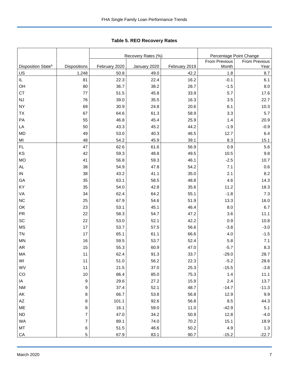<span id="page-7-0"></span>Tabl e 5. REO R ecovery R ates **Table 5. REO Recovery Rates**

|                                |                |               | Recovery Rates (%) | Percentage Point Change |               |                      |  |
|--------------------------------|----------------|---------------|--------------------|-------------------------|---------------|----------------------|--|
|                                |                |               |                    |                         | From Previous | <b>From Previous</b> |  |
| Disposition State <sup>b</sup> | Dispositions   | February 2020 | January 2020       | February 2019           | Month         | Year                 |  |
| $\underline{\mathsf{U}}$       | 1,248          | 50.8          | 49.0               | 42.2                    | 1.8           | 8.7                  |  |
| IL.                            | 81             | 22.3          | 22.4               | 16.2                    | $-0.1$        | 6.1                  |  |
| OH                             | 80             | 36.7          | 38.2               | 28.7                    | $-1.5$        | 8.0                  |  |
| <b>CT</b>                      | 77             | 51.5          | 45.8               | 33.9                    | 5.7           | 17.6                 |  |
| <b>NJ</b>                      | 76             | 39.0          | 35.5               | 16.3                    | 3.5           | 22.7                 |  |
| <b>NY</b>                      | 69             | 30.9          | 24.8               | 20.6                    | 6.1           | 10.3                 |  |
| <b>ΤX</b>                      | 67             | 64.6          | 61.3               | 58.9                    | 3.3           | 5.7                  |  |
| PA                             | 55             | 46.8          | 45.4               | 25.9                    | 1.4           | 20.9                 |  |
| LA                             | 50             | 43.3          | 45.2               | 44.2                    | $-1.9$        | $-0.9$               |  |
| <b>MD</b>                      | 49             | 53.0          | 40.3               | 46.5                    | 12.7          | 6.4                  |  |
| MI                             | 48             | 54.2          | 45.9               | 39.1                    | 8.3           | 15.1                 |  |
| FL.                            | 47             | 62.6          | 61.6               | 56.9                    | 0.9           | 5.6                  |  |
| KS                             | 42             | 59.3          | 48.8               | 49.5                    | 10.5          | 9.8                  |  |
| <b>MO</b>                      | 41             | 56.8          | 59.3               | 46.1                    | $-2.5$        | 10.7                 |  |
| AL                             | 38             | 54.9          | 47.8               | 54.2                    | 7.1           | 0.6                  |  |
| IN                             | 38             | 43.2          | 41.1               | 35.0                    | 2.1           | 8.2                  |  |
| GA                             | 35             | 63.1          | 58.5               | 48.8                    | 4.6           | 14.3                 |  |
| KY                             | 35             | 54.0          | 42.8               | 35.6                    | 11.2          | 18.3                 |  |
| VA                             | 34             | 62.4          | 64.2               | 55.1                    | $-1.8$        | $7.3$                |  |
| NC                             | 25             | 67.9          | 54.6               | 51.9                    | 13.3          | 16.0                 |  |
| OK                             | 23             | 53.1          | 45.1               | 46.4                    | 8.0           | 6.7                  |  |
| <b>PR</b>                      | 22             | 58.3          | 54.7               | 47.2                    | 3.6           | 11.1                 |  |
| SC                             | 22             | 53.0          | 52.1               | 42.2                    | 0.9           | 10.8                 |  |
| <b>MS</b>                      | 17             | 53.7          | 57.5               | 56.6                    | $-3.8$        | $-3.0$               |  |
| <b>TN</b>                      | 17             | 65.1          | 61.1               | 66.6                    | 4.0           | $-1.5$               |  |
| <b>MN</b>                      | 16             | 59.5          | 53.7               | 52.4                    | 5.8           | 7.1                  |  |
| AR                             | 15             | 55.3          | 60.9               | 47.0                    | $-5.7$        | 8.3                  |  |
| MA                             | 11             | 62.4          | 91.3               | 33.7                    | $-29.0$       | 28.7                 |  |
| WI                             | 11             | 51.0          | 56.2               | 22.3                    | $-5.2$        | 28.6                 |  |
| WV                             | 11             | 21.5          | 37.0               | 25.3                    | $-15.5$       | $-3.8$               |  |
| CO                             | $10\,$         | 86.4          | 85.0               | 75.3                    | $1.4$         | 11.1                 |  |
| IA                             | 9              | 29.6          | 27.2               | 15.9                    | 2.4           | 13.7                 |  |
| <b>NM</b>                      | 9              | 37.4          | 52.1               | 48.7                    | $-14.7$       | $-11.3$              |  |
| AK                             | $\bf 8$        | 66.7          | 53.8               | 56.8                    | 12.9          | $9.9\,$              |  |
| AZ                             | 8              | 101.1         | 92.6               | 56.8                    | 8.5           | 44.3                 |  |
| ME                             | 8              | 16.1          | 59.0               | 11.0                    | $-42.9$       | 5.1                  |  |
| ND                             | $\overline{7}$ | 47.0          | 34.2               | 50.9                    | 12.8          | $-4.0$               |  |
| WA                             | $\overline{7}$ | 89.1          | 74.0               | 70.2                    | 15.1          | 18.9                 |  |
| MT                             | $\,6\,$        | 51.5          | 46.6               | 50.2                    | 4.9           | $1.3$                |  |
| CA                             | 5              | 67.9          | 83.1               | 90.7                    | $-15.2$       | $-22.7$              |  |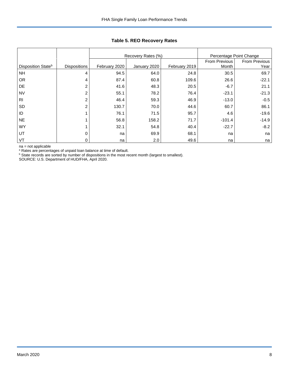|                                |                     |               | Recovery Rates (%) | Percentage Point Change |               |                      |
|--------------------------------|---------------------|---------------|--------------------|-------------------------|---------------|----------------------|
|                                |                     |               |                    |                         | From Previous | <b>From Previous</b> |
| Disposition State <sup>b</sup> | <b>Dispositions</b> | February 2020 | January 2020       | February 2019           | Month         | Year                 |
| <b>NH</b>                      | 4                   | 94.5          | 64.0               | 24.8                    | 30.5          | 69.7                 |
| <b>OR</b>                      | 4                   | 87.4          | 60.8               | 109.6                   | 26.6          | $-22.1$              |
| DE                             | 2                   | 41.6          | 48.3               | 20.5                    | $-6.7$        | 21.1                 |
| <b>NV</b>                      | 2                   | 55.1          | 78.2               | 76.4                    | $-23.1$       | $-21.3$              |
| R <sub>l</sub>                 | $\overline{c}$      | 46.4          | 59.3               | 46.9                    | $-13.0$       | $-0.5$               |
| <b>SD</b>                      | $\overline{2}$      | 130.7         | 70.0               | 44.6                    | 60.7          | 86.1                 |
| ID                             |                     | 76.1          | 71.5               | 95.7                    | 4.6           | $-19.6$              |
| <b>NE</b>                      |                     | 56.8          | 158.2              | 71.7                    | $-101.4$      | $-14.9$              |
| <b>WY</b>                      |                     | 32.1          | 54.8               | 40.4                    | $-22.7$       | $-8.2$               |
| UT                             | 0                   | na            | 69.9               | 68.1                    | na            | na                   |
| VT                             | 0                   | na            | 2.0                | 49.6                    | na            | na                   |

## **Table 5. REO Recovery Rates**

na = not applicable

<sup>a</sup> Rates are percentages of unpaid loan balance at time of default.

**b** State records are sorted by number of dispositions in the most recent month (largest to smallest).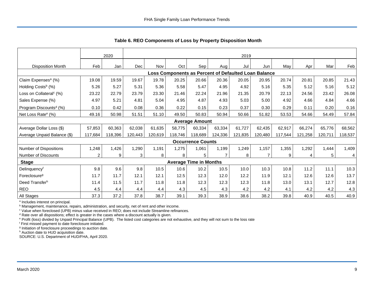|                                     |                | 2020    |         |         |                                                      |                               |                | 2019    |                |         |         |         |                |
|-------------------------------------|----------------|---------|---------|---------|------------------------------------------------------|-------------------------------|----------------|---------|----------------|---------|---------|---------|----------------|
| <b>Disposition Month</b>            | Feb            | Jan     | Dec     | Nov     | Oct                                                  | Sep                           | Aug            | Jul     | Jun            | May     | Apr     | Mar     | Feb            |
|                                     |                |         |         |         | Loss Components as Percent of Defaulted Loan Balance |                               |                |         |                |         |         |         |                |
| Claim Expenses <sup>a</sup> (%)     | 19.08          | 19.59   | 19.67   | 19.78   | 20.25                                                | 20.66                         | 20.36          | 20.05   | 20.95          | 20.74   | 20.81   | 20.85   | 21.43          |
| Holding Costs <sup>b</sup> (%)      | 5.26           | 5.27    | 5.31    | 5.36    | 5.58                                                 | 5.47                          | 4.95           | 4.92    | 5.16           | 5.35    | 5.12    | 5.16    | 5.12           |
| Loss on Collateral <sup>c</sup> (%) | 23.22          | 22.79   | 23.79   | 23.30   | 21.46                                                | 22.24                         | 21.96          | 21.35   | 20.79          | 22.13   | 24.56   | 23.42   | 26.08          |
| Sales Expense (%)                   | 4.97           | 5.21    | 4.81    | 5.04    | 4.95                                                 | 4.87                          | 4.93           | 5.03    | 5.00           | 4.92    | 4.66    | 4.84    | 4.66           |
| Program Discounts <sup>d</sup> (%)  | 0.10           | 0.42    | 0.08    | 0.36    | 0.22                                                 | 0.15                          | 0.23           | 0.37    | 0.30           | 0.29    | 0.11    | 0.20    | 0.16           |
| Net Loss Rate <sup>e</sup> (%)      | 49.16          | 50.98   | 51.51   | 51.10   | 49.50                                                | 50.83                         | 50.94          | 50.66   | 51.82          | 53.53   | 54.66   | 54.49   | 57.84          |
|                                     |                |         |         |         |                                                      | <b>Average Amount</b>         |                |         |                |         |         |         |                |
| Average Dollar Loss (\$)            | 57,853         | 60,363  | 62,038  | 61,635  | 58.775                                               | 60,334                        | 63,334         | 61,727  | 62,435         | 62,917  | 66,274  | 65,776  | 68,562         |
| Average Unpaid Balance (\$)         | 117,684        | 118,396 | 120,443 | 120,619 | 118,746                                              | 118,689                       | 124,336        | 121,835 | 120,480        | 117,544 | 121,258 | 120,711 | 118,537        |
|                                     |                |         |         |         |                                                      | <b>Occurrence Counts</b>      |                |         |                |         |         |         |                |
| Number of Dispositions              | 1,248          | 1,426   | 1,290   | 1,191   | 1,275                                                | 1,061                         | 1,199          | 1,249   | 1,157          | 1,355   | 1,292   | 1,444   | 1,409          |
| <b>Number of Discounts</b>          | $\overline{c}$ | 9       | 3       | 8       | 8                                                    | 5                             | $\overline{7}$ | 8       | $\overline{7}$ | 9       | 4       | 5       | $\overline{4}$ |
| <b>Stage</b>                        |                |         |         |         |                                                      | <b>Average Time in Months</b> |                |         |                |         |         |         |                |
| Delinquencyf                        | 9.8            | 9.6     | 9.8     | 10.5    | 10.6                                                 | 10.2                          | 10.5           | 10.0    | 10.3           | 10.8    | 11.2    | 11.1    | 10.3           |
| Foreclosure <sup>g</sup>            | 11.7           | 11.7    | 12.1    | 12.1    | 12.5                                                 | 12.3                          | 12.0           | 12.2    | 11.9           | 12.1    | 12.6    | 12.6    | 13.7           |
| Deed Transferh                      | 11.4           | 11.5    | 11.7    | 11.8    | 11.8                                                 | 12.3                          | 12.3           | 12.3    | 11.8           | 13.0    | 13.1    | 12.7    | 12.8           |
| <b>REO</b>                          | 4.5            | 4.4     | 4.4     | 4.4     | 4.3                                                  | 4.5                           | 4.3            | 4.2     | 4.2            | 4.1     | 4.2     | 4.2     | 4.3            |
| All Stages                          | 37.3           | 37.2    | 37.8    | 38.7    | 39.1                                                 | 39.3                          | 38.9           | 38.6    | 38.2           | 39.8    | 40.9    | 40.5    | 40.9           |

<span id="page-9-0"></span>**Table 6. REO Components of Loss by Property Disposition Month**

<sup>a</sup> Includes interest on principal.

**b** Management, maintenance, repairs, administration, and security, net of rent and other income.

<sup>c</sup> Value when foreclosed (UPB) minus value received in REO; does not include Streamline refinances.

<sup>d</sup> Rate over all dispositions; effect is greater in the cases where a discount actually is given.

<sup>e</sup> Profit (loss) divided by Unpaid Principal Balance (UPB). The listed cost categories are not exhaustive, and they will not sum to the loss rate

<sup>f</sup> First missed payment to date foreclosure initiated.

<sup>g</sup> Initiation of foreclosure proceedings to auction date.

h Auction date to HUD acquisition date.